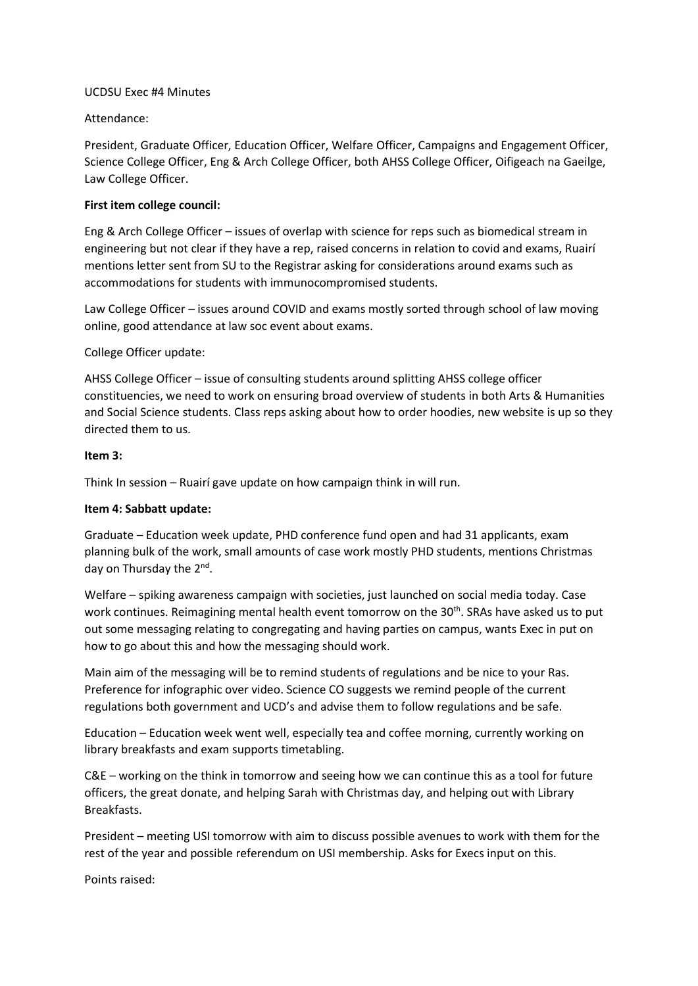### UCDSU Exec #4 Minutes

## Attendance:

President, Graduate Officer, Education Officer, Welfare Officer, Campaigns and Engagement Officer, Science College Officer, Eng & Arch College Officer, both AHSS College Officer, Oifigeach na Gaeilge, Law College Officer.

## **First item college council:**

Eng & Arch College Officer – issues of overlap with science for reps such as biomedical stream in engineering but not clear if they have a rep, raised concerns in relation to covid and exams, Ruairí mentions letter sent from SU to the Registrar asking for considerations around exams such as accommodations for students with immunocompromised students.

Law College Officer – issues around COVID and exams mostly sorted through school of law moving online, good attendance at law soc event about exams.

# College Officer update:

AHSS College Officer – issue of consulting students around splitting AHSS college officer constituencies, we need to work on ensuring broad overview of students in both Arts & Humanities and Social Science students. Class reps asking about how to order hoodies, new website is up so they directed them to us.

#### **Item 3:**

Think In session – Ruairí gave update on how campaign think in will run.

## **Item 4: Sabbatt update:**

Graduate – Education week update, PHD conference fund open and had 31 applicants, exam planning bulk of the work, small amounts of case work mostly PHD students, mentions Christmas day on Thursday the 2<sup>nd</sup>.

Welfare – spiking awareness campaign with societies, just launched on social media today. Case work continues. Reimagining mental health event tomorrow on the 30<sup>th</sup>. SRAs have asked us to put out some messaging relating to congregating and having parties on campus, wants Exec in put on how to go about this and how the messaging should work.

Main aim of the messaging will be to remind students of regulations and be nice to your Ras. Preference for infographic over video. Science CO suggests we remind people of the current regulations both government and UCD's and advise them to follow regulations and be safe.

Education – Education week went well, especially tea and coffee morning, currently working on library breakfasts and exam supports timetabling.

C&E – working on the think in tomorrow and seeing how we can continue this as a tool for future officers, the great donate, and helping Sarah with Christmas day, and helping out with Library Breakfasts.

President – meeting USI tomorrow with aim to discuss possible avenues to work with them for the rest of the year and possible referendum on USI membership. Asks for Execs input on this.

Points raised: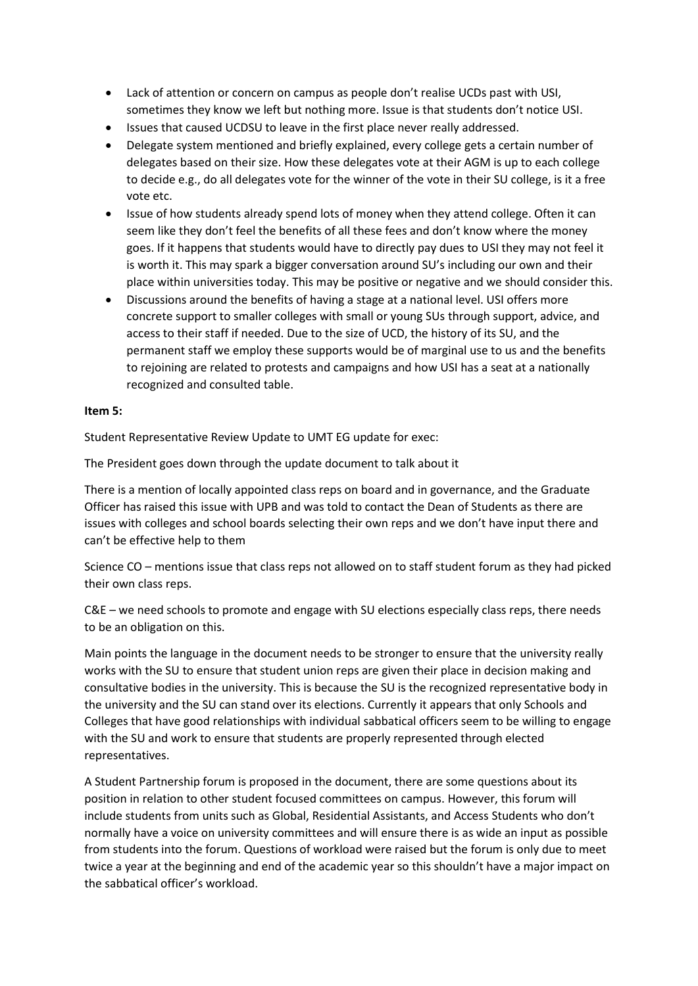- Lack of attention or concern on campus as people don't realise UCDs past with USI, sometimes they know we left but nothing more. Issue is that students don't notice USI.
- Issues that caused UCDSU to leave in the first place never really addressed.
- Delegate system mentioned and briefly explained, every college gets a certain number of delegates based on their size. How these delegates vote at their AGM is up to each college to decide e.g., do all delegates vote for the winner of the vote in their SU college, is it a free vote etc.
- Issue of how students already spend lots of money when they attend college. Often it can seem like they don't feel the benefits of all these fees and don't know where the money goes. If it happens that students would have to directly pay dues to USI they may not feel it is worth it. This may spark a bigger conversation around SU's including our own and their place within universities today. This may be positive or negative and we should consider this.
- Discussions around the benefits of having a stage at a national level. USI offers more concrete support to smaller colleges with small or young SUs through support, advice, and access to their staff if needed. Due to the size of UCD, the history of its SU, and the permanent staff we employ these supports would be of marginal use to us and the benefits to rejoining are related to protests and campaigns and how USI has a seat at a nationally recognized and consulted table.

# **Item 5:**

Student Representative Review Update to UMT EG update for exec:

The President goes down through the update document to talk about it

There is a mention of locally appointed class reps on board and in governance, and the Graduate Officer has raised this issue with UPB and was told to contact the Dean of Students as there are issues with colleges and school boards selecting their own reps and we don't have input there and can't be effective help to them

Science CO – mentions issue that class reps not allowed on to staff student forum as they had picked their own class reps.

C&E – we need schools to promote and engage with SU elections especially class reps, there needs to be an obligation on this.

Main points the language in the document needs to be stronger to ensure that the university really works with the SU to ensure that student union reps are given their place in decision making and consultative bodies in the university. This is because the SU is the recognized representative body in the university and the SU can stand over its elections. Currently it appears that only Schools and Colleges that have good relationships with individual sabbatical officers seem to be willing to engage with the SU and work to ensure that students are properly represented through elected representatives.

A Student Partnership forum is proposed in the document, there are some questions about its position in relation to other student focused committees on campus. However, this forum will include students from units such as Global, Residential Assistants, and Access Students who don't normally have a voice on university committees and will ensure there is as wide an input as possible from students into the forum. Questions of workload were raised but the forum is only due to meet twice a year at the beginning and end of the academic year so this shouldn't have a major impact on the sabbatical officer's workload.